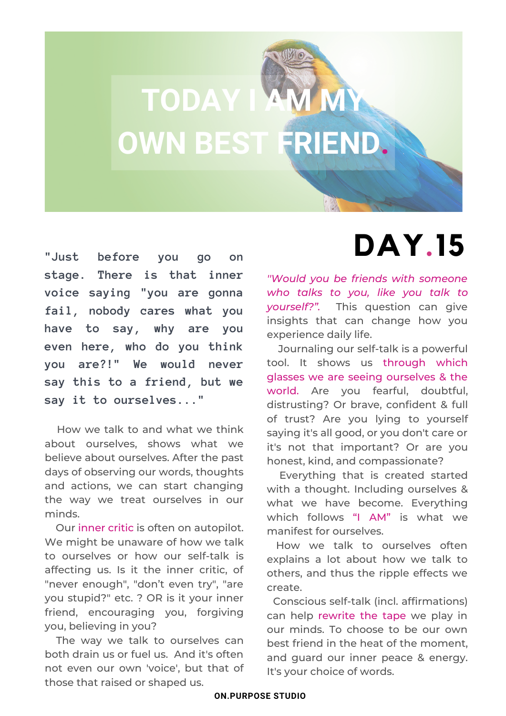

**"Just before you go on stage. There is that inner voice saying "you are gonna fail, nobody cares what you have to say, why are you even here, who do you think you are?!" We would never say this to a friend, but we say it to ourselves..."**

How we talk to and what we think about ourselves, shows what we believe about ourselves. After the past days of observing our words, thoughts and actions, we can start changing the way we treat ourselves in our minds.

Our inner critic is often on autopilot. We might be unaware of how we talk to ourselves or how our self-talk is affecting us. Is it the inner critic, of "never enough", "don't even try", "are you stupid?" etc. ? OR is it your inner friend, encouraging you, forgiving you, believing in you?

The way we talk to ourselves can both drain us or fuel us. And it's often not even our own 'voice', but that of those that raised or shaped us.

## **DAY.15**

*''Would you be friends with someone who talks to you, like you talk to yourself?".* This question can give insights that can change how you experience daily life.

Journaling our self-talk is a powerful tool. It shows us through which glasses we are seeing ourselves & the world. Are you fearful, doubtful, distrusting? Or brave, confident & full of trust? Are you lying to yourself saying it's all good, or you don't care or it's not that important? Or are you honest, kind, and compassionate?

Everything that is created started with a thought. Including ourselves & what we have become. Everything which follows "I AM" is what we manifest for ourselves.

How we talk to ourselves often explains a lot about how we talk to others, and thus the ripple effects we create.

Conscious self-talk (incl. affirmations) can help rewrite the tape we play in our minds. To choose to be our own best friend in the heat of the moment, and guard our inner peace & energy. It's your choice of words.